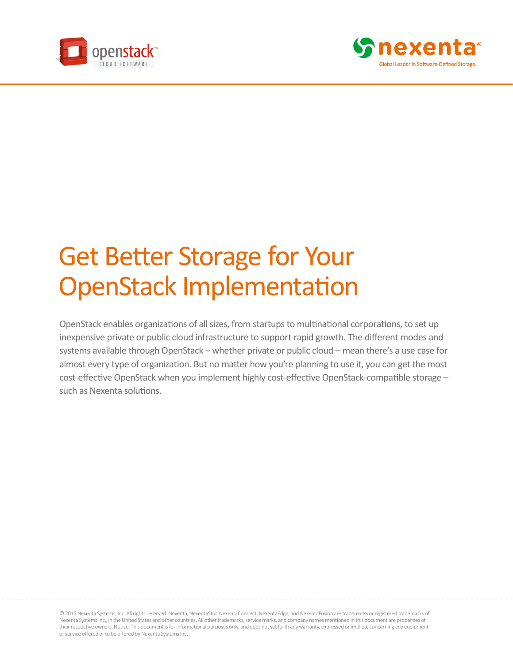



# Get Better Storage for Your OpenStack Implementation

OpenStack enables organizations of all sizes, from startups to multinational corporations, to set up inexpensive private or public cloud infrastructure to support rapid growth. The different modes and systems available through OpenStack – whether private or public cloud – mean there's a use case for almost every type of organization. But no matter how you're planning to use it, you can get the most cost-effective OpenStack when you implement highly cost-effective OpenStack-compatible storage – such as Nexenta solutions.

© 2015 Nexenta Systems, Inc. All rights reserved. Nexenta, NexentaStor, NexentaConnect, NexentaEdge, and NexentaFusion are trademarks or registered trademarks of Nexenta Systems Inc., in the United States and other countries. All other trademarks, service marks, and company names mentioned in this document are properties of their respective owners. Notice: This document is for informational purposes only, and does not set forth any warranty, expressed or implied, concerning any equipment or service offered or to be offered by Nexenta Systems Inc.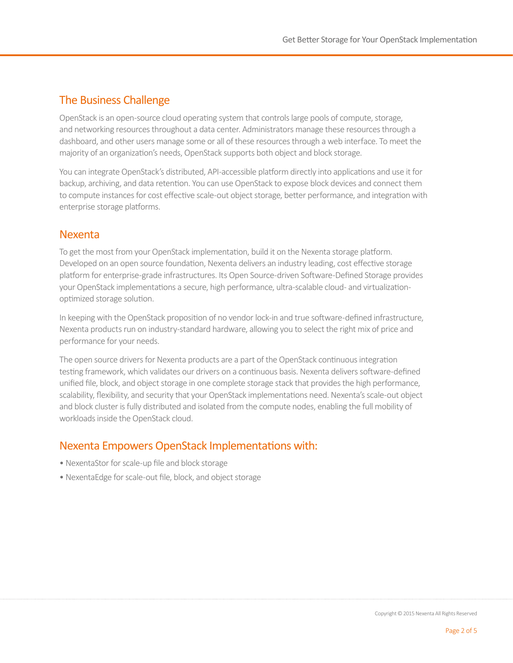# The Business Challenge

OpenStack is an open-source cloud operating system that controls large pools of compute, storage, and networking resources throughout a data center. Administrators manage these resources through a dashboard, and other users manage some or all of these resources through a web interface. To meet the majority of an organization's needs, OpenStack supports both object and block storage.

You can integrate OpenStack's distributed, API-accessible platform directly into applications and use it for backup, archiving, and data retention. You can use OpenStack to expose block devices and connect them to compute instances for cost effective scale-out object storage, better performance, and integration with enterprise storage platforms.

## Nexenta

To get the most from your OpenStack implementation, build it on the Nexenta storage platform. Developed on an open source foundation, Nexenta delivers an industry leading, cost effective storage platform for enterprise-grade infrastructures. Its Open Source-driven Software-Defined Storage provides your OpenStack implementations a secure, high performance, ultra-scalable cloud- and virtualizationoptimized storage solution.

In keeping with the OpenStack proposition of no vendor lock-in and true software-defined infrastructure, Nexenta products run on industry-standard hardware, allowing you to select the right mix of price and performance for your needs.

The open source drivers for Nexenta products are a part of the OpenStack continuous integration testing framework, which validates our drivers on a continuous basis. Nexenta delivers software-defined unified file, block, and object storage in one complete storage stack that provides the high performance, scalability, flexibility, and security that your OpenStack implementations need. Nexenta's scale-out object and block cluster is fully distributed and isolated from the compute nodes, enabling the full mobility of workloads inside the OpenStack cloud.

# Nexenta Empowers OpenStack Implementations with:

- NexentaStor for scale-up file and block storage
- NexentaEdge for scale-out file, block, and object storage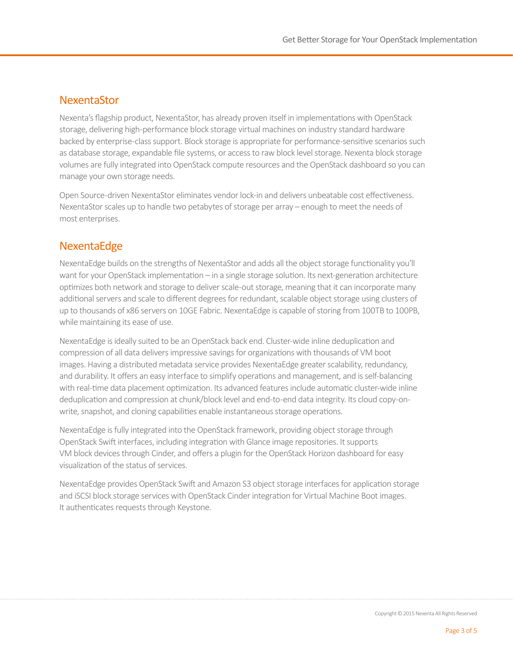## **NexentaStor**

Nexenta's flagship product, NexentaStor, has already proven itself in implementations with OpenStack storage, delivering high-performance block storage virtual machines on industry standard hardware backed by enterprise-class support. Block storage is appropriate for performance-sensitive scenarios such as database storage, expandable file systems, or access to raw block level storage. Nexenta block storage volumes are fully integrated into OpenStack compute resources and the OpenStack dashboard so you can manage your own storage needs.

Open Source-driven NexentaStor eliminates vendor lock-in and delivers unbeatable cost effectiveness. NexentaStor scales up to handle two petabytes of storage per array – enough to meet the needs of most enterprises.

## **NexentaEdge**

NexentaEdge builds on the strengths of NexentaStor and adds all the object storage functionality you'll want for your OpenStack implementation – in a single storage solution. Its next-generation architecture optimizes both network and storage to deliver scale-out storage, meaning that it can incorporate many additional servers and scale to different degrees for redundant, scalable object storage using clusters of up to thousands of x86 servers on 10GE Fabric. NexentaEdge is capable of storing from 100TB to 100PB, while maintaining its ease of use.

NexentaEdge is ideally suited to be an OpenStack back end. Cluster-wide inline deduplication and compression of all data delivers impressive savings for organizations with thousands of VM boot images. Having a distributed metadata service provides NexentaEdge greater scalability, redundancy, and durability. It offers an easy interface to simplify operations and management, and is self-balancing with real-time data placement optimization. Its advanced features include automatic cluster-wide inline deduplication and compression at chunk/block level and end-to-end data integrity. Its cloud copy-onwrite, snapshot, and cloning capabilities enable instantaneous storage operations.

NexentaEdge is fully integrated into the OpenStack framework, providing object storage through OpenStack Swift interfaces, including integration with Glance image repositories. It supports VM block devices through Cinder, and offers a plugin for the OpenStack Horizon dashboard for easy visualization of the status of services.

NexentaEdge provides OpenStack Swift and Amazon S3 object storage interfaces for application storage and iSCSI block storage services with OpenStack Cinder integration for Virtual Machine Boot images. It authenticates requests through Keystone.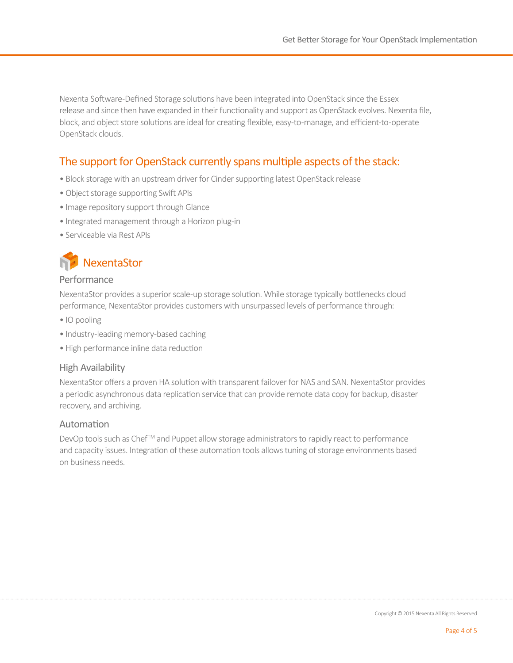Nexenta Software-Defined Storage solutions have been integrated into OpenStack since the Essex release and since then have expanded in their functionality and support as OpenStack evolves. Nexenta file, block, and object store solutions are ideal for creating flexible, easy-to-manage, and efficient-to-operate OpenStack clouds.

# The support for OpenStack currently spans multiple aspects of the stack:

- Block storage with an upstream driver for Cinder supporting latest OpenStack release
- Object storage supporting Swift APIs
- Image repository support through Glance
- Integrated management through a Horizon plug-in
- Serviceable via Rest APIs



#### Performance

NexentaStor provides a superior scale-up storage solution. While storage typically bottlenecks cloud performance, NexentaStor provides customers with unsurpassed levels of performance through:

- IO pooling
- Industry-leading memory-based caching
- High performance inline data reduction

#### High Availability

NexentaStor offers a proven HA solution with transparent failover for NAS and SAN. NexentaStor provides a periodic asynchronous data replication service that can provide remote data copy for backup, disaster recovery, and archiving.

#### Automation

DevOp tools such as Chef™ and Puppet allow storage administrators to rapidly react to performance and capacity issues. Integration of these automation tools allows tuning of storage environments based on business needs.